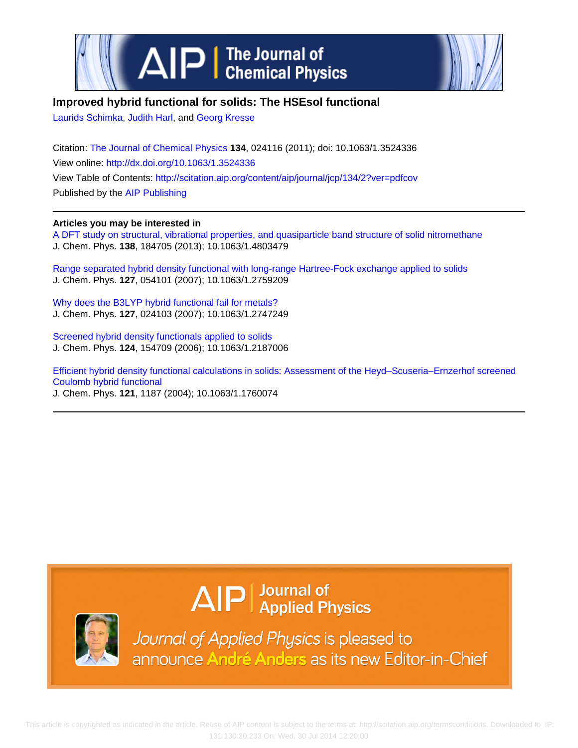



## **Improved hybrid functional for solids: The HSEsol functional**

[Laurids Schimka,](http://scitation.aip.org/search?value1=Laurids+Schimka&option1=author) [Judith Harl](http://scitation.aip.org/search?value1=Judith+Harl&option1=author), and [Georg Kresse](http://scitation.aip.org/search?value1=Georg+Kresse&option1=author)

Citation: [The Journal of Chemical Physics](http://scitation.aip.org/content/aip/journal/jcp?ver=pdfcov) **134**, 024116 (2011); doi: 10.1063/1.3524336 View online: <http://dx.doi.org/10.1063/1.3524336> View Table of Contents: <http://scitation.aip.org/content/aip/journal/jcp/134/2?ver=pdfcov> Published by the [AIP Publishing](http://scitation.aip.org/content/aip?ver=pdfcov)

### **Articles you may be interested in**

[A DFT study on structural, vibrational properties, and quasiparticle band structure of solid nitromethane](http://scitation.aip.org/content/aip/journal/jcp/138/18/10.1063/1.4803479?ver=pdfcov) J. Chem. Phys. **138**, 184705 (2013); 10.1063/1.4803479

[Range separated hybrid density functional with long-range Hartree-Fock exchange applied to solids](http://scitation.aip.org/content/aip/journal/jcp/127/5/10.1063/1.2759209?ver=pdfcov) J. Chem. Phys. **127**, 054101 (2007); 10.1063/1.2759209

[Why does the B3LYP hybrid functional fail for metals?](http://scitation.aip.org/content/aip/journal/jcp/127/2/10.1063/1.2747249?ver=pdfcov) J. Chem. Phys. **127**, 024103 (2007); 10.1063/1.2747249

[Screened hybrid density functionals applied to solids](http://scitation.aip.org/content/aip/journal/jcp/124/15/10.1063/1.2187006?ver=pdfcov) J. Chem. Phys. **124**, 154709 (2006); 10.1063/1.2187006

[Efficient hybrid density functional calculations in solids: Assessment of the Heyd–Scuseria–Ernzerhof screened](http://scitation.aip.org/content/aip/journal/jcp/121/3/10.1063/1.1760074?ver=pdfcov) [Coulomb hybrid functional](http://scitation.aip.org/content/aip/journal/jcp/121/3/10.1063/1.1760074?ver=pdfcov) J. Chem. Phys. **121**, 1187 (2004); 10.1063/1.1760074

# $\Delta$ IP  $\vert$  Journal of Applied Physics



Journal of Applied Physics is pleased to announce André Anders as its new Editor-in-Chief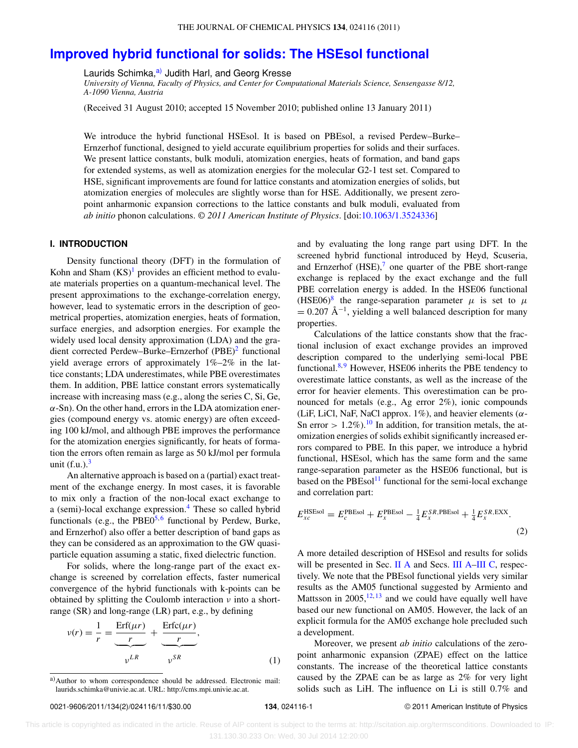## **[Improved hybrid functional for solids: The HSEsol functional](http://dx.doi.org/10.1063/1.3524336)**

Laurids Schimka,<sup>[a\)](#page-1-0)</sup> Judith Harl, and Georg Kresse

*University of Vienna, Faculty of Physics, and Center for Computational Materials Science, Sensengasse 8/12, A-1090 Vienna, Austria*

(Received 31 August 2010; accepted 15 November 2010; published online 13 January 2011)

We introduce the hybrid functional HSEsol. It is based on PBEsol, a revised Perdew–Burke– Ernzerhof functional, designed to yield accurate equilibrium properties for solids and their surfaces. We present lattice constants, bulk moduli, atomization energies, heats of formation, and band gaps for extended systems, as well as atomization energies for the molecular G2-1 test set. Compared to HSE, significant improvements are found for lattice constants and atomization energies of solids, but atomization energies of molecules are slightly worse than for HSE. Additionally, we present zeropoint anharmonic expansion corrections to the lattice constants and bulk moduli, evaluated from *ab initio* phonon calculations. *© 2011 American Institute of Physics*. [doi[:10.1063/1.3524336\]](http://dx.doi.org/10.1063/1.3524336)

#### **I. INTRODUCTION**

Density functional theory (DFT) in the formulation of Kohn and Sham  $(KS)^1$  provides an efficient method to evaluate materials properties on a quantum-mechanical level. The present approximations to the exchange-correlation energy, however, lead to systematic errors in the description of geometrical properties, atomization energies, heats of formation, surface energies, and adsorption energies. For example the widely used local density approximation (LDA) and the gradient corrected Perdew–Burke–Ernzerhof (PBE)<sup>2</sup> functional yield average errors of approximately 1%–2% in the lattice constants; LDA underestimates, while PBE overestimates them. In addition, PBE lattice constant errors systematically increase with increasing mass (e.g., along the series C, Si, Ge,  $\alpha$ -Sn). On the other hand, errors in the LDA atomization energies (compound energy vs. atomic energy) are often exceeding 100 kJ/mol, and although PBE improves the performance for the atomization energies significantly, for heats of formation the errors often remain as large as 50 kJ/mol per formula unit  $(f.u.)$ .<sup>3</sup>

An alternative approach is based on a (partial) exact treatment of the exchange energy. In most cases, it is favorable to mix only a fraction of the non-local exact exchange to a (semi)-local exchange expression.<sup>[4](#page-10-3)</sup> These so called hybrid functionals (e.g., the PBE $0^{5,6}$  $0^{5,6}$  $0^{5,6}$  functional by Perdew, Burke, and Ernzerhof) also offer a better description of band gaps as they can be considered as an approximation to the GW quasiparticle equation assuming a static, fixed dielectric function.

For solids, where the long-range part of the exact exchange is screened by correlation effects, faster numerical convergence of the hybrid functionals with k-points can be obtained by splitting the Coulomb interaction  $\nu$  into a shortrange (SR) and long-range (LR) part, e.g., by defining

$$
v(r) = \frac{1}{r} = \underbrace{\frac{\text{Erf}(\mu r)}{r}}_{v^{LR}} + \underbrace{\frac{\text{Erf}(\mu r)}{r}}_{v^{SR}},
$$
\n(1)

and by evaluating the long range part using DFT. In the screened hybrid functional introduced by Heyd, Scuseria, and Ernzerhof  $(HSE)$ , one quarter of the PBE short-range exchange is replaced by the exact exchange and the full PBE correlation energy is added. In the HSE06 functional (HSE06)<sup>[8](#page-10-7)</sup> the range-separation parameter  $\mu$  is set to  $\mu$  $= 0.207 \text{ Å}^{-1}$ , yielding a well balanced description for many properties.

Calculations of the lattice constants show that the fractional inclusion of exact exchange provides an improved description compared to the underlying semi-local PBE functional. $8.9$  $8.9$  However, HSE06 inherits the PBE tendency to overestimate lattice constants, as well as the increase of the error for heavier elements. This overestimation can be pronounced for metals (e.g., Ag error 2%), ionic compounds (LiF, LiCl, NaF, NaCl approx.  $1\%$ ), and heavier elements ( $\alpha$ -Sn error  $> 1.2\%$ ).<sup>10</sup> In addition, for transition metals, the atomization energies of solids exhibit significantly increased errors compared to PBE. In this paper, we introduce a hybrid functional, HSEsol, which has the same form and the same range-separation parameter as the HSE06 functional, but is based on the  $PBEsol<sup>11</sup>$  $PBEsol<sup>11</sup>$  $PBEsol<sup>11</sup>$  functional for the semi-local exchange and correlation part:

$$
E_{xc}^{\text{HSEsol}} = E_c^{\text{PBEsol}} + E_x^{\text{PBEsol}} - \frac{1}{4} E_x^{\text{SR,PBEsol}} + \frac{1}{4} E_x^{\text{SR,EXX}}.
$$
\n(2)

A more detailed description of HSEsol and results for solids will be presented in Sec. [II A](#page-2-0) and Secs. [III A–](#page-4-0)[III C,](#page-6-0) respectively. We note that the PBEsol functional yields very similar results as the AM05 functional suggested by Armiento and Mattsson in  $2005$ ,  $12, 13$  $12, 13$  and we could have equally well have based our new functional on AM05. However, the lack of an explicit formula for the AM05 exchange hole precluded such a development.

Moreover, we present *ab initio* calculations of the zeropoint anharmonic expansion (ZPAE) effect on the lattice constants. The increase of the theoretical lattice constants caused by the ZPAE can be as large as 2% for very light solids such as LiH. The influence on Li is still 0.7% and

<span id="page-1-0"></span>a) Author to whom correspondence should be addressed. Electronic mail: [laurids.schimka@univie.ac.at.](mailto: laurids.schimka@univie.ac.at) URL: http://cms.mpi.univie.ac.at.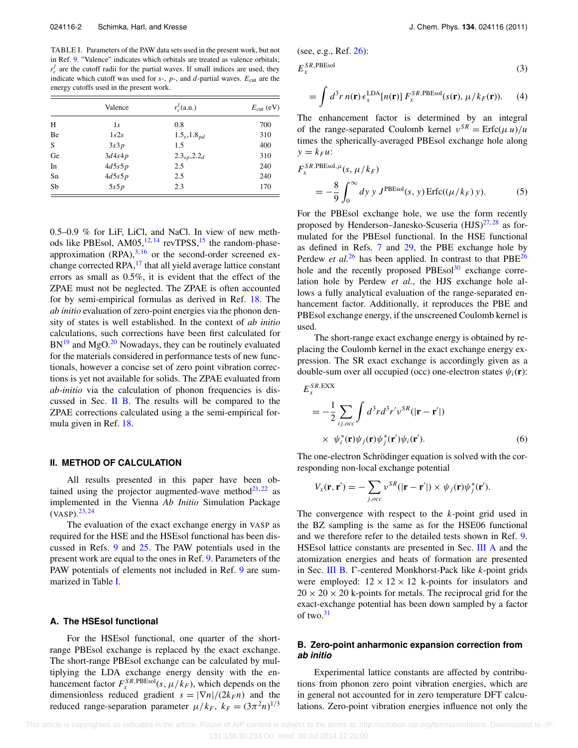<span id="page-2-2"></span>TABLE I. Parameters of the PAW data sets used in the present work, but not in Ref. [9.](#page-10-8) "Valence" indicates which orbitals are treated as valence orbitals;  $r_c^l$  are the cutoff radii for the partial waves. If small indices are used, they indicate which cutoff was used for  $s$ -,  $p$ -, and  $d$ -partial waves.  $E_{\text{cut}}$  are the energy cutoffs used in the present work.

|    | Valence | $r_c^l$ (a.u.)       | $E_{\text{cut}}$ (eV) |
|----|---------|----------------------|-----------------------|
| H  | 1s      | 0.8                  | 700                   |
| Be | 1s2s    | $1.5_s, 1.8_{pd}$    | 310                   |
| S  | 3s3p    | 1.5                  | 400                   |
| Ge | 3d4s4p  | $2.3_{sp}$ , $2.2_d$ | 310                   |
| In | 4d5s5p  | 2.5                  | 240                   |
| Sn | 4d5s5p  | 2.5                  | 240                   |
| Sb | 5s5p    | 2.3                  | 170                   |

0.5–0.9 % for LiF, LiCl, and NaCl. In view of new methods like PBEsol,  $AM05$ ,  $^{12,14}$  $^{12,14}$  $^{12,14}$  $^{12,14}$  revTPSS,  $^{15}$  the random-phaseapproximation  $(RPA)$ ,  $3,16$  $3,16$  or the second-order screened ex-change corrected RPA,<sup>[17](#page-11-7)</sup> that all yield average lattice constant errors as small as 0.5%, it is evident that the effect of the ZPAE must not be neglected. The ZPAE is often accounted for by semi-empirical formulas as derived in Ref. [18.](#page-11-8) The *ab initio* evaluation of zero-point energies via the phonon density of states is well established. In the context of *ab initio* calculations, such corrections have been first calculated for  $BN<sup>19</sup>$  and MgO.<sup>[20](#page-11-10)</sup> Nowadays, they can be routinely evaluated for the materials considered in performance tests of new functionals, however a concise set of zero point vibration corrections is yet not available for solids. The ZPAE evaluated from *ab-initio* via the calculation of phonon frequencies is discussed in Sec. [II B.](#page-2-1) The results will be compared to the ZPAE corrections calculated using a the semi-empirical formula given in Ref. [18.](#page-11-8)

#### **II. METHOD OF CALCULATION**

All results presented in this paper have been obtained using the projector augmented-wave method $2^{1,22}$  $2^{1,22}$  $2^{1,22}$  as implemented in the Vienna *Ab Initio* Simulation Package  $(VASP).^{23, 24}$  $(VASP).^{23, 24}$  $(VASP).^{23, 24}$  $(VASP).^{23, 24}$  $(VASP).^{23, 24}$ 

The evaluation of the exact exchange energy in VASP as required for the HSE and the HSEsol functional has been discussed in Refs. [9](#page-10-8) and [25.](#page-11-15) The PAW potentials used in the present work are equal to the ones in Ref. [9.](#page-10-8) Parameters of the PAW potentials of elements not included in Ref. [9](#page-10-8) are summarized in Table [I.](#page-2-2)

#### <span id="page-2-0"></span>**A. The HSEsol functional**

For the HSEsol functional, one quarter of the shortrange PBEsol exchange is replaced by the exact exchange. The short-range PBEsol exchange can be calculated by multiplying the LDA exchange energy density with the enhancement factor  $F_x^{SR,PBEsol}(s, \mu/k_F)$ , which depends on the dimensionless reduced gradient  $s = |\nabla n|/(2k_F n)$  and the reduced range-separation parameter  $\mu/k_F$ ,  $k_F = (3\pi^2 n)^{1/3}$ 

(see, e.g., Ref. [26\)](#page-11-16):  $E_r^{SR, PBEsol}$  (3)

$$
= \int d^3r \, n(\mathbf{r}) \, \epsilon_x^{\text{LDA}}[n(\mathbf{r})] \, F_x^{SR, \text{PBEsol}}(s(\mathbf{r}), \, \mu/k_F(\mathbf{r})). \tag{4}
$$

The enhancement factor is determined by an integral of the range-separated Coulomb kernel  $v^{SR} = \text{Erfc}(\mu u)/u$ times the spherically-averaged PBEsol exchange hole along  $y = k_F u$ :

$$
F_x^{SR, PBEsol, \mu}(s, \mu/k_F)
$$
  
= 
$$
-\frac{8}{9} \int_0^\infty dy \, y \, J^{PBEsol}(s, y) \operatorname{Erfc}((\mu/k_F) y).
$$
 (5)

For the PBEsol exchange hole, we use the form recently proposed by Henderson–Janesko-Scuseria  $(HJS)^{27,28}$  $(HJS)^{27,28}$  $(HJS)^{27,28}$  as formulated for the PBEsol functional. In the HSE functional as defined in Refs. [7](#page-10-6) and [29,](#page-11-19) the PBE exchange hole by Perdew *et al.*<sup>[26](#page-11-16)</sup> has been applied. In contrast to that  $PBE^{26}$ hole and the recently proposed  $PBEsol<sup>30</sup>$  exchange correlation hole by Perdew *et al.*, the HJS exchange hole allows a fully analytical evaluation of the range-separated enhancement factor. Additionally, it reproduces the PBE and PBEsol exchange energy, if the unscreened Coulomb kernel is used.

The short-range exact exchange energy is obtained by replacing the Coulomb kernel in the exact exchange energy expression. The SR exact exchange is accordingly given as a double-sum over all occupied (occ) one-electron states  $\psi_i(\mathbf{r})$ :  $E^{SR,EXX}$ 

$$
\begin{split} \n\kappa &= -\frac{1}{2} \sum_{ij,occ} \int d^3r d^3r' \nu^{SR} (|\mathbf{r} - \mathbf{r}'|) \\ \n& \times \psi_i^*(\mathbf{r}) \psi_j(\mathbf{r}) \psi_j^*(\mathbf{r}') \psi_i(\mathbf{r}'). \n\end{split} \tag{6}
$$

The one-electron Schrödinger equation is solved with the corresponding non-local exchange potential

$$
V_x(\mathbf{r}, \mathbf{r}') = -\sum_{j,occ} v^{SR}(|\mathbf{r} - \mathbf{r}'|) \times \psi_j(\mathbf{r}) \psi_j^*(\mathbf{r}').
$$

The convergence with respect to the *k*-point grid used in the BZ sampling is the same as for the HSE06 functional and we therefore refer to the detailed tests shown in Ref. [9.](#page-10-8) HSEsol lattice constants are presented in Sec. [III A](#page-4-0) and the atomization energies and heats of formation are presented in Sec. [III B.](#page-5-0)  $\Gamma$ -centered Monkhorst-Pack like  $k$ -point grids were employed:  $12 \times 12 \times 12$  k-points for insulators and  $20 \times 20 \times 20$  k-points for metals. The reciprocal grid for the exact-exchange potential has been down sampled by a factor of two. $31$ 

#### <span id="page-2-1"></span>**B. Zero-point anharmonic expansion correction from ab initio**

Experimental lattice constants are affected by contributions from phonon zero point vibration energies, which are in general not accounted for in zero temperature DFT calculations. Zero-point vibration energies influence not only the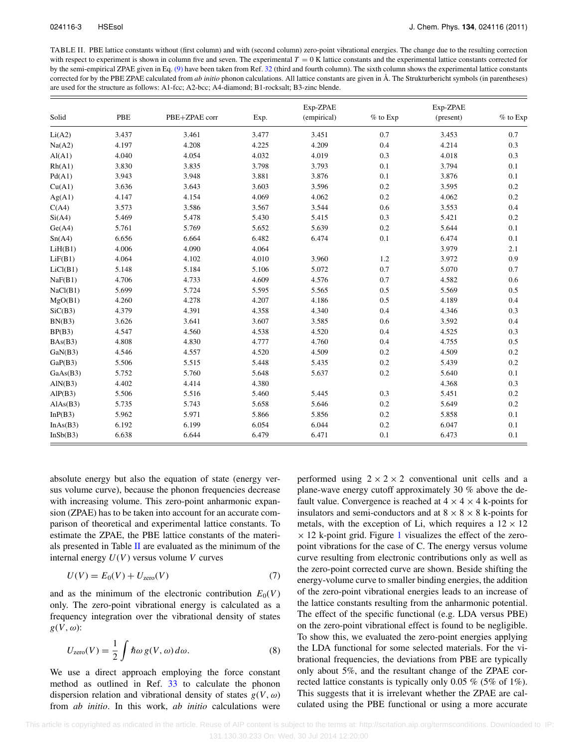<span id="page-3-0"></span>TABLE II. PBE lattice constants without (first column) and with (second column) zero-point vibrational energies. The change due to the resulting correction with respect to experiment is shown in column five and seven. The experimental  $T = 0$  K lattice constants and the experimental lattice constants corrected for by the semi-empirical ZPAE given in Eq. [\(9\)](#page-4-1) have been taken from Ref. [32](#page-11-22) (third and fourth column). The sixth column shows the experimental lattice constants corrected for by the PBE ZPAE calculated from *ab initio* phonon calculations. All lattice constants are given in Å. The Strukturbericht symbols (in parentheses) are used for the structure as follows: A1-fcc; A2-bcc; A4-diamond; B1-rocksalt; B3-zinc blende.

| Solid    | PBE   | PBE+ZPAE corr |       | Exp-ZPAE<br>(empirical) |            | Exp-ZPAE  |            |
|----------|-------|---------------|-------|-------------------------|------------|-----------|------------|
|          |       |               | Exp.  |                         | $%$ to Exp | (present) | $%$ to Exp |
| Li(A2)   | 3.437 | 3.461         | 3.477 | 3.451                   | 0.7        | 3.453     | 0.7        |
| Na(A2)   | 4.197 | 4.208         | 4.225 | 4.209                   | 0.4        | 4.214     | 0.3        |
| AI(A1)   | 4.040 | 4.054         | 4.032 | 4.019                   | 0.3        | 4.018     | 0.3        |
| Rh(A1)   | 3.830 | 3.835         | 3.798 | 3.793                   | 0.1        | 3.794     | 0.1        |
| Pd(A1)   | 3.943 | 3.948         | 3.881 | 3.876                   | 0.1        | 3.876     | 0.1        |
| Cu(A1)   | 3.636 | 3.643         | 3.603 | 3.596                   | 0.2        | 3.595     | 0.2        |
| Ag(A1)   | 4.147 | 4.154         | 4.069 | 4.062                   | 0.2        | 4.062     | 0.2        |
| C(A4)    | 3.573 | 3.586         | 3.567 | 3.544                   | 0.6        | 3.553     | 0.4        |
| Si(A4)   | 5.469 | 5.478         | 5.430 | 5.415                   | 0.3        | 5.421     | 0.2        |
| Ge(A4)   | 5.761 | 5.769         | 5.652 | 5.639                   | 0.2        | 5.644     | 0.1        |
| Sn(A4)   | 6.656 | 6.664         | 6.482 | 6.474                   | 0.1        | 6.474     | 0.1        |
| LiH(B1)  | 4.006 | 4.090         | 4.064 |                         |            | 3.979     | 2.1        |
| LiF(B1)  | 4.064 | 4.102         | 4.010 | 3.960                   | 1.2        | 3.972     | 0.9        |
| LiCl(B1) | 5.148 | 5.184         | 5.106 | 5.072                   | 0.7        | 5.070     | 0.7        |
| NaF(B1)  | 4.706 | 4.733         | 4.609 | 4.576                   | 0.7        | 4.582     | 0.6        |
| NaCl(B1) | 5.699 | 5.724         | 5.595 | 5.565                   | 0.5        | 5.569     | 0.5        |
| MgO(B1)  | 4.260 | 4.278         | 4.207 | 4.186                   | 0.5        | 4.189     | 0.4        |
| SiC(B3)  | 4.379 | 4.391         | 4.358 | 4.340                   | 0.4        | 4.346     | 0.3        |
| BN(B3)   | 3.626 | 3.641         | 3.607 | 3.585                   | 0.6        | 3.592     | 0.4        |
| BP(B3)   | 4.547 | 4.560         | 4.538 | 4.520                   | 0.4        | 4.525     | 0.3        |
| BAs(B3)  | 4.808 | 4.830         | 4.777 | 4.760                   | 0.4        | 4.755     | 0.5        |
| GaN(B3)  | 4.546 | 4.557         | 4.520 | 4.509                   | 0.2        | 4.509     | 0.2        |
| GaP(B3)  | 5.506 | 5.515         | 5.448 | 5.435                   | 0.2        | 5.439     | 0.2        |
| GaAs(B3) | 5.752 | 5.760         | 5.648 | 5.637                   | 0.2        | 5.640     | 0.1        |
| AlN(B3)  | 4.402 | 4.414         | 4.380 |                         |            | 4.368     | 0.3        |
| AlP(B3)  | 5.506 | 5.516         | 5.460 | 5.445                   | 0.3        | 5.451     | 0.2        |
| AlAs(B3) | 5.735 | 5.743         | 5.658 | 5.646                   | 0.2        | 5.649     | 0.2        |
| InP(B3)  | 5.962 | 5.971         | 5.866 | 5.856                   | 0.2        | 5.858     | 0.1        |
| InAs(B3) | 6.192 | 6.199         | 6.054 | 6.044                   | 0.2        | 6.047     | 0.1        |
| InSb(B3) | 6.638 | 6.644         | 6.479 | 6.471                   | 0.1        | 6.473     | 0.1        |

absolute energy but also the equation of state (energy versus volume curve), because the phonon frequencies decrease with increasing volume. This zero-point anharmonic expansion (ZPAE) has to be taken into account for an accurate comparison of theoretical and experimental lattice constants. To estimate the ZPAE, the PBE lattice constants of the materials presented in Table  $II$  are evaluated as the minimum of the internal energy *U*(*V*) versus volume *V* curves

$$
U(V) = E_0(V) + U_{\text{zero}}(V) \tag{7}
$$

and as the minimum of the electronic contribution  $E_0(V)$ only. The zero-point vibrational energy is calculated as a frequency integration over the vibrational density of states  $g(V, \omega)$ :

$$
U_{\rm zero}(V) = \frac{1}{2} \int \hbar \omega \, g(V, \omega) \, d\omega. \tag{8}
$$

We use a direct approach employing the force constant method as outlined in Ref. [33](#page-11-23) to calculate the phonon dispersion relation and vibrational density of states  $g(V, \omega)$ from *ab initio*. In this work, *ab initio* calculations were performed using  $2 \times 2 \times 2$  conventional unit cells and a plane-wave energy cutoff approximately 30 % above the default value. Convergence is reached at  $4 \times 4 \times 4$  k-points for insulators and semi-conductors and at  $8 \times 8 \times 8$  k-points for metals, with the exception of Li, which requires a  $12 \times 12$  $\times$  [1](#page-4-2)2 k-point grid. Figure 1 visualizes the effect of the zeropoint vibrations for the case of C. The energy versus volume curve resulting from electronic contributions only as well as the zero-point corrected curve are shown. Beside shifting the energy-volume curve to smaller binding energies, the addition of the zero-point vibrational energies leads to an increase of the lattice constants resulting from the anharmonic potential. The effect of the specific functional (e.g. LDA versus PBE) on the zero-point vibrational effect is found to be negligible. To show this, we evaluated the zero-point energies applying the LDA functional for some selected materials. For the vibrational frequencies, the deviations from PBE are typically only about 5%, and the resultant change of the ZPAE corrected lattice constants is typically only 0.05 % (5% of 1%). This suggests that it is irrelevant whether the ZPAE are calculated using the PBE functional or using a more accurate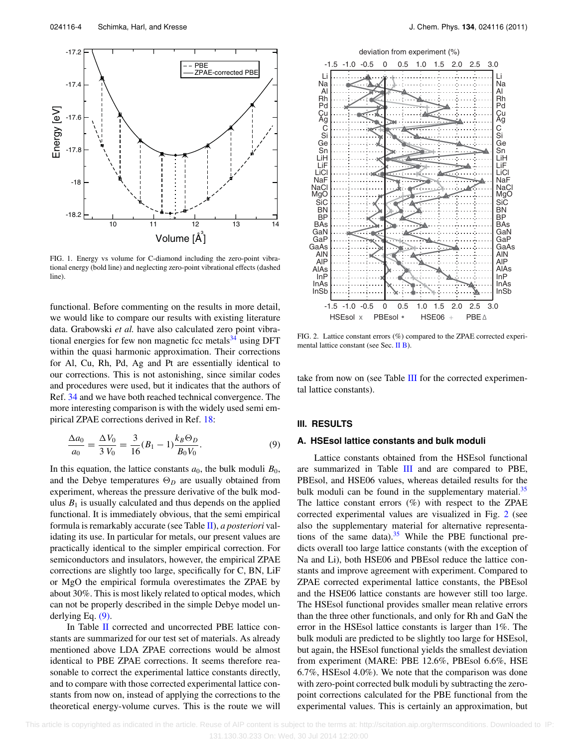<span id="page-4-2"></span>

FIG. 1. Energy vs volume for C-diamond including the zero-point vibrational energy (bold line) and neglecting zero-point vibrational effects (dashed line).

functional. Before commenting on the results in more detail, we would like to compare our results with existing literature data. Grabowski *et al.* have also calculated zero point vibrational energies for few non magnetic fcc metals $34$  using DFT within the quasi harmonic approximation. Their corrections for Al, Cu, Rh, Pd, Ag and Pt are essentially identical to our corrections. This is not astonishing, since similar codes and procedures were used, but it indicates that the authors of Ref. [34](#page-11-24) and we have both reached technical convergence. The more interesting comparison is with the widely used semi empirical ZPAE corrections derived in Ref. [18:](#page-11-8)

$$
\frac{\Delta a_0}{a_0} = \frac{\Delta V_0}{3 V_0} = \frac{3}{16} (B_1 - 1) \frac{k_B \Theta_D}{B_0 V_0}.
$$
\n(9)

In this equation, the lattice constants  $a_0$ , the bulk moduli  $B_0$ , and the Debye temperatures  $\Theta_D$  are usually obtained from experiment, whereas the pressure derivative of the bulk modulus  $B_1$  is usually calculated and thus depends on the applied functional. It is immediately obvious, that the semi empirical formula is remarkably accurate (see Table [II\)](#page-3-0), *a posteriori* validating its use. In particular for metals, our present values are practically identical to the simpler empirical correction. For semiconductors and insulators, however, the empirical ZPAE corrections are slightly too large, specifically for C, BN, LiF or MgO the empirical formula overestimates the ZPAE by about 30%. This is most likely related to optical modes, which can not be properly described in the simple Debye model underlying Eq. [\(9\).](#page-4-1)

In Table [II](#page-3-0) corrected and uncorrected PBE lattice constants are summarized for our test set of materials. As already mentioned above LDA ZPAE corrections would be almost identical to PBE ZPAE corrections. It seems therefore reasonable to correct the experimental lattice constants directly, and to compare with those corrected experimental lattice constants from now on, instead of applying the corrections to the theoretical energy-volume curves. This is the route we will

<span id="page-4-3"></span>

FIG. 2. Lattice constant errors (%) compared to the ZPAE corrected experimental lattice constant (see Sec. [II B\)](#page-2-1).

take from now on (see Table [III](#page-5-1) for the corrected experimental lattice constants).

#### <span id="page-4-1"></span><span id="page-4-0"></span>**III. RESULTS**

#### **A. HSEsol lattice constants and bulk moduli**

Lattice constants obtained from the HSEsol functional are summarized in Table [III](#page-5-1) and are compared to PBE, PBEsol, and HSE06 values, whereas detailed results for the bulk moduli can be found in the supplementary material.<sup>[35](#page-11-25)</sup> The lattice constant errors  $(\%)$  with respect to the ZPAE corrected experimental values are visualized in Fig. [2](#page-4-3) (see also the supplementary material for alternative representa-tions of the same data).<sup>[35](#page-11-25)</sup> While the PBE functional predicts overall too large lattice constants (with the exception of Na and Li), both HSE06 and PBEsol reduce the lattice constants and improve agreement with experiment. Compared to ZPAE corrected experimental lattice constants, the PBEsol and the HSE06 lattice constants are however still too large. The HSEsol functional provides smaller mean relative errors than the three other functionals, and only for Rh and GaN the error in the HSEsol lattice constants is larger than 1%. The bulk moduli are predicted to be slightly too large for HSEsol, but again, the HSEsol functional yields the smallest deviation from experiment (MARE: PBE 12.6%, PBEsol 6.6%, HSE 6.7%, HSEsol 4.0%). We note that the comparison was done with zero-point corrected bulk moduli by subtracting the zeropoint corrections calculated for the PBE functional from the experimental values. This is certainly an approximation, but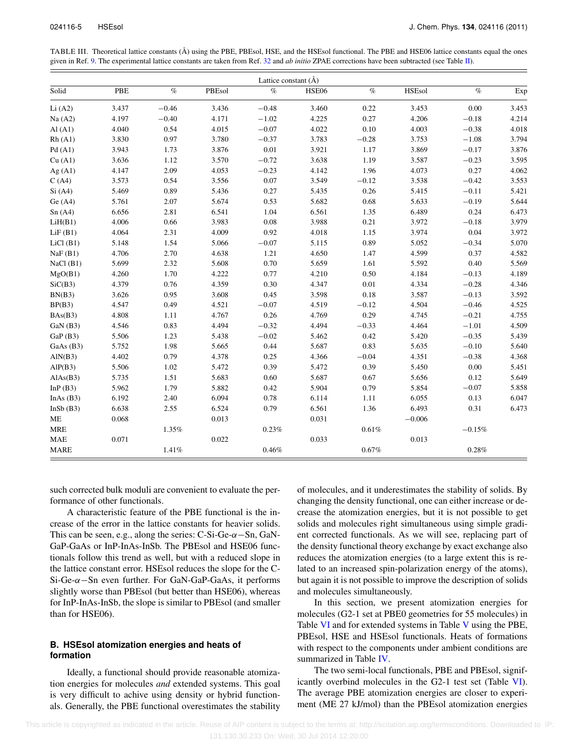<span id="page-5-1"></span>TABLE III. Theoretical lattice constants (Å) using the PBE, PBEsol, HSE, and the HSEsol functional. The PBE and HSE06 lattice constants equal the ones given in Ref. [9.](#page-10-8) The experimental lattice constants are taken from Ref. [32](#page-11-22) and *ab initio* ZPAE corrections have been subtracted (see Table [II\)](#page-3-0).

| Lattice constant (Å) |       |          |        |         |       |          |               |          |       |  |
|----------------------|-------|----------|--------|---------|-------|----------|---------------|----------|-------|--|
| Solid                | PBE   | $\%$     | PBEsol | $\%$    | HSE06 | $\%$     | <b>HSEsol</b> | $\%$     | Exp   |  |
| Li(A2)               | 3.437 | $-0.46$  | 3.436  | $-0.48$ | 3.460 | 0.22     | 3.453         | 0.00     | 3.453 |  |
| Na(A2)               | 4.197 | $-0.40$  | 4.171  | $-1.02$ | 4.225 | 0.27     | 4.206         | $-0.18$  | 4.214 |  |
| AI(Al)               | 4.040 | 0.54     | 4.015  | $-0.07$ | 4.022 | 0.10     | 4.003         | $-0.38$  | 4.018 |  |
| Rh(A1)               | 3.830 | 0.97     | 3.780  | $-0.37$ | 3.783 | $-0.28$  | 3.753         | $-1.08$  | 3.794 |  |
| Pd(A1)               | 3.943 | 1.73     | 3.876  | 0.01    | 3.921 | 1.17     | 3.869         | $-0.17$  | 3.876 |  |
| Cu (A1)              | 3.636 | 1.12     | 3.570  | $-0.72$ | 3.638 | 1.19     | 3.587         | $-0.23$  | 3.595 |  |
| Ag $(A1)$            | 4.147 | 2.09     | 4.053  | $-0.23$ | 4.142 | 1.96     | 4.073         | 0.27     | 4.062 |  |
| C(A4)                | 3.573 | 0.54     | 3.556  | 0.07    | 3.549 | $-0.12$  | 3.538         | $-0.42$  | 3.553 |  |
| Si(A4)               | 5.469 | 0.89     | 5.436  | 0.27    | 5.435 | 0.26     | 5.415         | $-0.11$  | 5.421 |  |
| Ge(A4)               | 5.761 | 2.07     | 5.674  | 0.53    | 5.682 | 0.68     | 5.633         | $-0.19$  | 5.644 |  |
| Sn(A4)               | 6.656 | 2.81     | 6.541  | 1.04    | 6.561 | 1.35     | 6.489         | 0.24     | 6.473 |  |
| LiH(B1)              | 4.006 | 0.66     | 3.983  | 0.08    | 3.988 | 0.21     | 3.972         | $-0.18$  | 3.979 |  |
| LiF(B1)              | 4.064 | 2.31     | 4.009  | 0.92    | 4.018 | 1.15     | 3.974         | $0.04\,$ | 3.972 |  |
| $LiCl$ (B1)          | 5.148 | 1.54     | 5.066  | $-0.07$ | 5.115 | 0.89     | 5.052         | $-0.34$  | 5.070 |  |
| NaF(B1)              | 4.706 | 2.70     | 4.638  | 1.21    | 4.650 | 1.47     | 4.599         | 0.37     | 4.582 |  |
| NaCl(B1)             | 5.699 | 2.32     | 5.608  | 0.70    | 5.659 | 1.61     | 5.592         | 0.40     | 5.569 |  |
| MgO(B1)              | 4.260 | 1.70     | 4.222  | 0.77    | 4.210 | 0.50     | 4.184         | $-0.13$  | 4.189 |  |
| SiC(B3)              | 4.379 | 0.76     | 4.359  | 0.30    | 4.347 | 0.01     | 4.334         | $-0.28$  | 4.346 |  |
| BN(B3)               | 3.626 | 0.95     | 3.608  | 0.45    | 3.598 | 0.18     | 3.587         | $-0.13$  | 3.592 |  |
| BP(B3)               | 4.547 | 0.49     | 4.521  | $-0.07$ | 4.519 | $-0.12$  | 4.504         | $-0.46$  | 4.525 |  |
| BAs(B3)              | 4.808 | 1.11     | 4.767  | 0.26    | 4.769 | 0.29     | 4.745         | $-0.21$  | 4.755 |  |
| GaN (B3)             | 4.546 | 0.83     | 4.494  | $-0.32$ | 4.494 | $-0.33$  | 4.464         | $-1.01$  | 4.509 |  |
| GaP(B3)              | 5.506 | 1.23     | 5.438  | $-0.02$ | 5.462 | 0.42     | 5.420         | $-0.35$  | 5.439 |  |
| GaAs (B3)            | 5.752 | 1.98     | 5.665  | 0.44    | 5.687 | 0.83     | 5.635         | $-0.10$  | 5.640 |  |
| AlN(B3)              | 4.402 | 0.79     | 4.378  | 0.25    | 4.366 | $-0.04$  | 4.351         | $-0.38$  | 4.368 |  |
| AlP(B3)              | 5.506 | 1.02     | 5.472  | 0.39    | 5.472 | 0.39     | 5.450         | 0.00     | 5.451 |  |
| AlAs(B3)             | 5.735 | 1.51     | 5.683  | 0.60    | 5.687 | 0.67     | 5.656         | 0.12     | 5.649 |  |
| In $P(B3)$           | 5.962 | 1.79     | 5.882  | 0.42    | 5.904 | 0.79     | 5.854         | $-0.07$  | 5.858 |  |
| InAs $(B3)$          | 6.192 | 2.40     | 6.094  | 0.78    | 6.114 | 1.11     | 6.055         | 0.13     | 6.047 |  |
| InSb(B3)             | 6.638 | 2.55     | 6.524  | 0.79    | 6.561 | 1.36     | 6.493         | 0.31     | 6.473 |  |
| $ME$                 | 0.068 |          | 0.013  |         | 0.031 |          | $-0.006$      |          |       |  |
| <b>MRE</b>           |       | $1.35\%$ |        | 0.23%   |       | $0.61\%$ |               | $-0.15%$ |       |  |
| <b>MAE</b>           | 0.071 |          | 0.022  |         | 0.033 |          | 0.013         |          |       |  |
| <b>MARE</b>          |       | 1.41%    |        | 0.46%   |       | 0.67%    |               | 0.28%    |       |  |

such corrected bulk moduli are convenient to evaluate the performance of other functionals.

A characteristic feature of the PBE functional is the increase of the error in the lattice constants for heavier solids. This can be seen, e.g., along the series: C-Si-Ge- $\alpha$ -Sn, GaN-GaP-GaAs or InP-InAs-InSb. The PBEsol and HSE06 functionals follow this trend as well, but with a reduced slope in the lattice constant error. HSEsol reduces the slope for the C-Si-Ge-α−Sn even further. For GaN-GaP-GaAs, it performs slightly worse than PBEsol (but better than HSE06), whereas for InP-InAs-InSb, the slope is similar to PBEsol (and smaller than for HSE06).

#### <span id="page-5-0"></span>**B. HSEsol atomization energies and heats of formation**

Ideally, a functional should provide reasonable atomization energies for molecules *and* extended systems. This goal is very difficult to achive using density or hybrid functionals. Generally, the PBE functional overestimates the stability of molecules, and it underestimates the stability of solids. By changing the density functional, one can either increase or decrease the atomization energies, but it is not possible to get solids and molecules right simultaneous using simple gradient corrected functionals. As we will see, replacing part of the density functional theory exchange by exact exchange also reduces the atomization energies (to a large extent this is related to an increased spin-polarization energy of the atoms), but again it is not possible to improve the description of solids and molecules simultaneously.

In this section, we present atomization energies for molecules (G2-1 set at PBE0 geometries for 55 molecules) in Table [VI](#page-8-0) and for extended systems in Table [V](#page-7-0) using the PBE, PBEsol, HSE and HSEsol functionals. Heats of formations with respect to the components under ambient conditions are summarized in Table [IV.](#page-6-1)

The two semi-local functionals, PBE and PBEsol, significantly overbind molecules in the G2-1 test set (Table [VI\)](#page-8-0). The average PBE atomization energies are closer to experiment (ME 27 kJ/mol) than the PBEsol atomization energies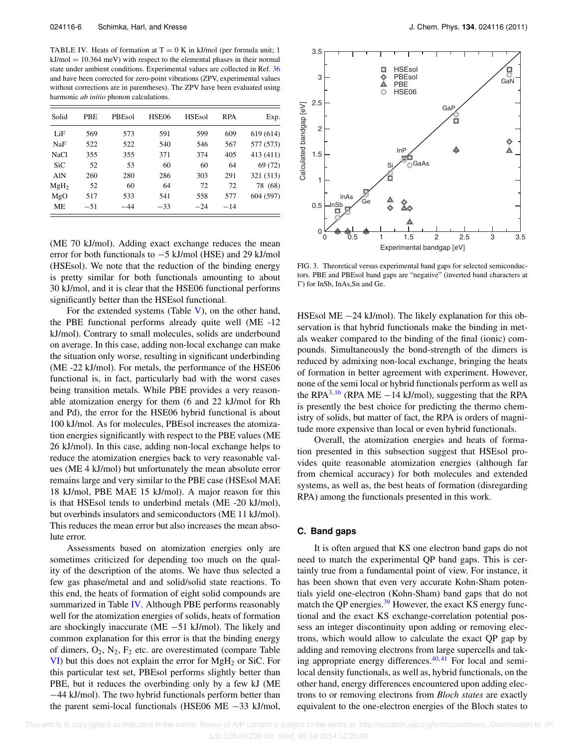<span id="page-6-1"></span>TABLE IV. Heats of formation at  $T = 0$  K in kJ/mol (per formula unit; 1)  $kJ/mol = 10.364$  meV) with respect to the elemental phases in their normal state under ambient conditions. Experimental values are collected in Ref. [36](#page-11-26) and have been corrected for zero-point vibrations (ZPV, experimental values without corrections are in parentheses). The ZPV have been evaluated using harmonic *ab initio* phonon calculations.

| Solid            | PBE   | PBEsol | HSE06 | <b>HSEsol</b> | <b>RPA</b> | Exp.      |
|------------------|-------|--------|-------|---------------|------------|-----------|
| LiF              | 569   | 573    | 591   | 599           | 609        | 619 (614) |
| NaF              | 522   | 522    | 540   | 546           | 567        | 577 (573) |
| <b>NaCl</b>      | 355   | 355    | 371   | 374           | 405        | 413 (411) |
| SiC              | 52    | 53     | 60    | 60            | 64         | 69 (72)   |
| AlN              | 260   | 280    | 286   | 303           | 291        | 321 (313) |
| MgH <sub>2</sub> | 52    | 60     | 64    | 72            | 72         | 78 (68)   |
| MgO              | 517   | 533    | 541   | 558           | 577        | 604 (597) |
| ME               | $-51$ | -44    | $-33$ | $-24$         | $-14$      |           |

(ME 70 kJ/mol). Adding exact exchange reduces the mean error for both functionals to −5 kJ/mol (HSE) and 29 kJ/mol (HSEsol). We note that the reduction of the binding energy is pretty similar for both functionals amounting to about 30 kJ/mol, and it is clear that the HSE06 functional performs significantly better than the HSEsol functional.

For the extended systems (Table  $V$ ), on the other hand, the PBE functional performs already quite well (ME -12 kJ/mol). Contrary to small molecules, solids are underbound on average. In this case, adding non-local exchange can make the situation only worse, resulting in significant underbinding (ME -22 kJ/mol). For metals, the performance of the HSE06 functional is, in fact, particularly bad with the worst cases being transition metals. While PBE provides a very reasonable atomization energy for them (6 and 22 kJ/mol for Rh and Pd), the error for the HSE06 hybrid functional is about 100 kJ/mol. As for molecules, PBEsol increases the atomization energies significantly with respect to the PBE values (ME 26 kJ/mol). In this case, adding non-local exchange helps to reduce the atomization energies back to very reasonable values (ME 4 kJ/mol) but unfortunately the mean absolute error remains large and very similar to the PBE case (HSEsol MAE 18 kJ/mol, PBE MAE 15 kJ/mol). A major reason for this is that HSEsol tends to underbind metals (ME -20 kJ/mol), but overbinds insulators and semiconductors (ME 11 kJ/mol). This reduces the mean error but also increases the mean absolute error.

Assessments based on atomization energies only are sometimes criticized for depending too much on the quality of the description of the atoms. We have thus selected a few gas phase/metal and and solid/solid state reactions. To this end, the heats of formation of eight solid compounds are summarized in Table [IV.](#page-6-1) Although PBE performs reasonably well for the atomization energies of solids, heats of formation are shockingly inaccurate (ME −51 kJ/mol). The likely and common explanation for this error is that the binding energy of dimers,  $O_2$ ,  $N_2$ ,  $F_2$  etc. are overestimated (compare Table  $VI$ ) but this does not explain the error for  $MgH<sub>2</sub>$  or SiC. For this particular test set, PBEsol performs slightly better than PBE, but it reduces the overbinding only by a few kJ (ME −44 kJ/mol). The two hybrid functionals perform better than the parent semi-local functionals (HSE06 ME −33 kJ/mol,



FIG. 3. Theoretical versus experimental band gaps for selected semiconductors. PBE and PBEsol band gaps are "negative" (inverted band characters at ) for InSb, InAs,Sn and Ge.

HSEsol ME −24 kJ/mol). The likely explanation for this observation is that hybrid functionals make the binding in metals weaker compared to the binding of the final (ionic) compounds. Simultaneously the bond-strength of the dimers is reduced by admixing non-local exchange, bringing the heats of formation in better agreement with experiment. However, none of the semi local or hybrid functionals perform as well as the RPA<sup>3, [16](#page-11-6)</sup> (RPA ME  $-14$  kJ/mol), suggesting that the RPA is presently the best choice for predicting the thermo chemistry of solids, but matter of fact, the RPA is orders of magnitude more expensive than local or even hybrid functionals.

Overall, the atomization energies and heats of formation presented in this subsection suggest that HSEsol provides quite reasonable atomization energies (although far from chemical accuracy) for both molecules and extended systems, as well as, the best heats of formation (disregarding RPA) among the functionals presented in this work.

#### <span id="page-6-0"></span>**C. Band gaps**

It is often argued that KS one electron band gaps do not need to match the experimental QP band gaps. This is certainly true from a fundamental point of view. For instance, it has been shown that even very accurate Kohn-Sham potentials yield one-electron (Kohn-Sham) band gaps that do not match the QP energies. $39$  However, the exact KS energy functional and the exact KS exchange-correlation potential possess an integer discontinuity upon adding or removing electrons, which would allow to calculate the exact QP gap by adding and removing electrons from large supercells and tak-ing appropriate energy differences.<sup>40,[41](#page-11-29)</sup> For local and semilocal density functionals, as well as, hybrid functionals, on the other hand, energy differences encountered upon adding electrons to or removing electrons from *Bloch states* are exactly equivalent to the one-electron energies of the Bloch states to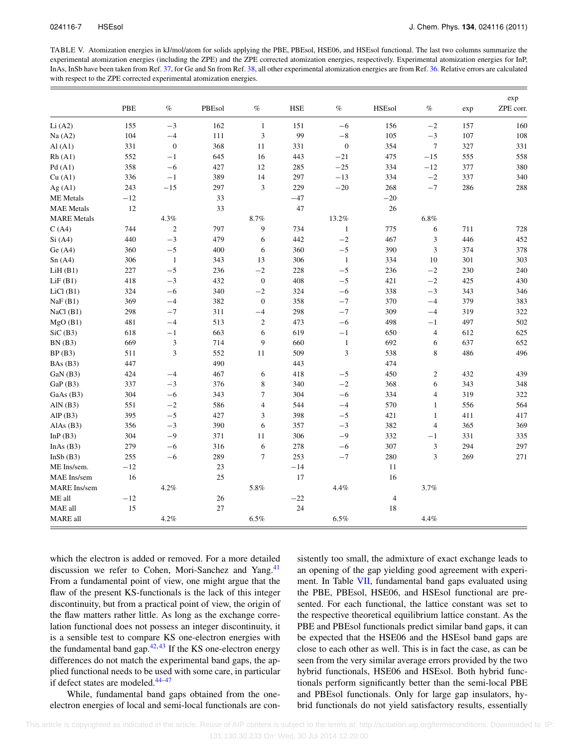<span id="page-7-0"></span>TABLE V. Atomization energies in kJ/mol/atom for solids applying the PBE, PBEsol, HSE06, and HSEsol functional. The last two columns summarize the experimental atomization energies (including the ZPE) and the ZPE corrected atomization energies, respectively. Experimental atomization energies for InP, InAs, InSb have been taken from Ref. [37,](#page-11-30) for Ge and Sn from Ref. [38,](#page-11-31) all other experimental atomization energies are from Ref. [36.](#page-11-26) Relative errors are calculated with respect to the ZPE corrected experimental atomization energies.

|                     | PBE   | $\%$             | PBEsol | $\%$             | <b>HSE</b> | $\%$             | <b>HSEsol</b>  | $\%$           | exp | exp<br>ZPE corr. |
|---------------------|-------|------------------|--------|------------------|------------|------------------|----------------|----------------|-----|------------------|
| Li(A2)              | 155   | $-3$             | 162    | $\mathbf{1}$     | 151        | $-6$             | 156            | $-2$           | 157 | 160              |
| Na(A2)              | 104   | $-4$             | 111    | 3                | 99         | $-8$             | 105            | $-3$           | 107 | 108              |
| AI(Al)              | 331   | $\boldsymbol{0}$ | 368    | 11               | 331        | $\boldsymbol{0}$ | 354            | $\tau$         | 327 | 331              |
| Rh(A1)              | 552   | $-1$             | 645    | 16               | 443        | $-21$            | 475            | $-15$          | 555 | 558              |
| Pd(A1)              | 358   | $-6$             | 427    | 12               | 285        | $-25$            | 334            | $-12$          | 377 | 380              |
| Cu (A1)             | 336   | $-1$             | 389    | 14               | 297        | $-13$            | 334            | $-2\,$         | 337 | 340              |
| Ag(A1)              | 243   | $-15$            | 297    | 3                | 229        | $-20$            | 268            | $-7\,$         | 286 | 288              |
| <b>ME</b> Metals    | $-12$ |                  | 33     |                  | $-47$      |                  | $-20$          |                |     |                  |
| <b>MAE</b> Metals   | 12    |                  | 33     |                  | 47         |                  | 26             |                |     |                  |
| <b>MARE</b> Metals  |       | 4.3%             |        | 8.7%             |            | 13.2%            |                | $6.8\%$        |     |                  |
| C(A4)               | 744   | $\sqrt{2}$       | 797    | 9                | 734        | $\mathbf{1}$     | 775            | 6              | 711 | 728              |
| Si(A4)              | 440   | $-3$             | 479    | 6                | 442        | $-2$             | 467            | 3              | 446 | 452              |
| Ge(A4)              | 360   | $-5$             | 400    | 6                | 360        | $-5$             | 390            | $\mathfrak{Z}$ | 374 | 378              |
| Sn(A4)              | 306   | $\mathbf{1}$     | 343    | 13               | 306        | $\mathbf{1}$     | 334            | 10             | 301 | 303              |
| LiH(B1)             | 227   | $-5$             | 236    | $-2$             | 228        | $-5$             | 236            | $-{\bf 2}$     | 230 | 240              |
| LiF(B1)             | 418   | $-3$             | 432    | $\boldsymbol{0}$ | 408        | $-5$             | 421            | $-{\bf 2}$     | 425 | 430              |
| $LiCl$ (B1)         | 324   | $-6$             | 340    | $-2$             | 324        | $-6$             | 338            | $-3$           | 343 | 346              |
| NaF(B1)             | 369   | $-4$             | 382    | $\boldsymbol{0}$ | 358        | $-7$             | 370            | $-4$           | 379 | 383              |
| NaCl(B1)            | 298   | $-7$             | 311    | $-4$             | 298        | $-7$             | 309            | $-4$           | 319 | 322              |
| MgO(B1)             | 481   | $-4$             | 513    | $\boldsymbol{2}$ | 473        | $-6$             | 498            | $-1$           | 497 | 502              |
| SiC(B3)             | 618   | $-1$             | 663    | 6                | 619        | $-1$             | 650            | $\overline{4}$ | 612 | 625              |
| BN(B3)              | 669   | $\mathfrak{Z}$   | 714    | 9                | 660        | $\mathbf{1}$     | 692            | 6              | 637 | 652              |
| BP(B3)              | 511   | 3                | 552    | 11               | 509        | 3                | 538            | 8              | 486 | 496              |
| BAs(B3)             | 447   |                  | 490    |                  | 443        |                  | 474            |                |     |                  |
| GaN(B3)             | 424   | $-4$             | 467    | 6                | 418        | $-5$             | 450            | $\overline{c}$ | 432 | 439              |
| GaP(B3)             | 337   | $-3$             | 376    | 8                | 340        | $-2$             | 368            | 6              | 343 | 348              |
| GaAs (B3)           | 304   | $-6$             | 343    | $\tau$           | 304        | $-6$             | 334            | 4              | 319 | 322              |
| AlN $(B3)$          | 551   | $-{\bf 2}$       | 586    | $\overline{4}$   | 544        | $-4$             | 570            | $\mathbf{1}$   | 556 | 564              |
| AlP(B3)             | 395   | $-5$             | 427    | 3                | 398        | $-5$             | 421            | $\mathbf{1}$   | 411 | 417              |
| AlAs $(B3)$         | 356   | $-3$             | 390    | 6                | 357        | $-3$             | 382            | 4              | 365 | 369              |
| In $P(B3)$          | 304   | $-9$             | 371    | 11               | 306        | $-9$             | 332            | $-1$           | 331 | 335              |
| InAs $(B3)$         | 279   | $-6$             | 316    | 6                | 278        | $-6$             | 307            | $\mathfrak{Z}$ | 294 | 297              |
| InSb(B3)            | 255   | $-6$             | 289    | $\overline{7}$   | 253        | $-7\,$           | 280            | 3              | 269 | 271              |
| ME Ins/sem.         | $-12$ |                  | 23     |                  | $-14$      |                  | 11             |                |     |                  |
| MAE Ins/sem         | 16    |                  | 25     |                  | 17         |                  | 16             |                |     |                  |
| <b>MARE</b> Ins/sem |       | 4.2%             |        | 5.8%             |            | 4.4%             |                | 3.7%           |     |                  |
| ME all              | $-12$ |                  | 26     |                  | $-22$      |                  | $\overline{4}$ |                |     |                  |
| MAE all             | 15    |                  | 27     |                  | 24         |                  | 18             |                |     |                  |
| MARE all            |       | 4.2%             |        | 6.5%             |            | 6.5%             |                | 4.4%           |     |                  |

which the electron is added or removed. For a more detailed discussion we refer to Cohen, Mori-Sanchez and Yang.<sup>[41](#page-11-29)</sup> From a fundamental point of view, one might argue that the flaw of the present KS-functionals is the lack of this integer discontinuity, but from a practical point of view, the origin of the flaw matters rather little. As long as the exchange correlation functional does not possess an integer discontinuity, it is a sensible test to compare KS one-electron energies with the fundamental band gap. $42, 43$  $42, 43$  If the KS one-electron energy differences do not match the experimental band gaps, the applied functional needs to be used with some care, in particular if defect states are modeled.<sup>[44](#page-11-34)[–47](#page-11-35)</sup>

While, fundamental band gaps obtained from the oneelectron energies of local and semi-local functionals are consistently too small, the admixture of exact exchange leads to an opening of the gap yielding good agreement with experiment. In Table [VII,](#page-8-1) fundamental band gaps evaluated using the PBE, PBEsol, HSE06, and HSEsol functional are presented. For each functional, the lattice constant was set to the respective theoretical equilibrium lattice constant. As the PBE and PBEsol functionals predict similar band gaps, it can be expected that the HSE06 and the HSEsol band gaps are close to each other as well. This is in fact the case, as can be seen from the very similar average errors provided by the two hybrid functionals, HSE06 and HSEsol. Both hybrid functionals perform significantly better than the semi-local PBE and PBEsol functionals. Only for large gap insulators, hybrid functionals do not yield satisfactory results, essentially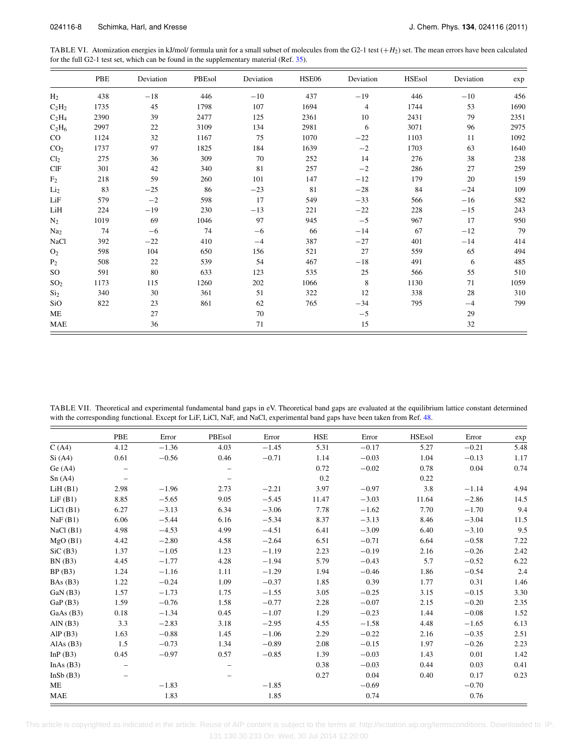<span id="page-8-0"></span>TABLE VI. Atomization energies in kJ/mol/ formula unit for a small subset of molecules from the G2-1 test  $(+H<sub>2</sub>)$  set. The mean errors have been calculated for the full G2-1 test set, which can be found in the supplementary material (Ref. [35\)](#page-11-25).

|                 | PBE  | Deviation | PBEsol | Deviation | HSE06 | Deviation      | <b>HSEsol</b> | Deviation | exp  |
|-----------------|------|-----------|--------|-----------|-------|----------------|---------------|-----------|------|
| H <sub>2</sub>  | 438  | $-18$     | 446    | $-10$     | 437   | $-19$          | 446           | $-10$     | 456  |
| $C_2H_2$        | 1735 | 45        | 1798   | 107       | 1694  | $\overline{4}$ | 1744          | 53        | 1690 |
| $C_2H_4$        | 2390 | 39        | 2477   | 125       | 2361  | 10             | 2431          | 79        | 2351 |
| $C_2H_6$        | 2997 | 22        | 3109   | 134       | 2981  | 6              | 3071          | 96        | 2975 |
| $_{\rm CO}$     | 1124 | 32        | 1167   | 75        | 1070  | $-22$          | 1103          | 11        | 1092 |
| CO <sub>2</sub> | 1737 | 97        | 1825   | 184       | 1639  | $-2$           | 1703          | 63        | 1640 |
| Cl <sub>2</sub> | 275  | 36        | 309    | 70        | 252   | 14             | 276           | 38        | 238  |
| CIF             | 301  | 42        | 340    | 81        | 257   | $-2$           | 286           | 27        | 259  |
| F <sub>2</sub>  | 218  | 59        | 260    | 101       | 147   | $-12$          | 179           | 20        | 159  |
| Li <sub>2</sub> | 83   | $-25$     | 86     | $-23$     | 81    | $-28$          | 84            | $-24$     | 109  |
| LiF             | 579  | $-2$      | 598    | 17        | 549   | $-33$          | 566           | $-16$     | 582  |
| LiH             | 224  | $-19$     | 230    | $-13$     | 221   | $-22$          | 228           | $-15$     | 243  |
| $N_2$           | 1019 | 69        | 1046   | 97        | 945   | $-5$           | 967           | 17        | 950  |
| Na <sub>2</sub> | 74   | $-6$      | 74     | $-6$      | 66    | $-14$          | 67            | $-12$     | 79   |
| <b>NaCl</b>     | 392  | $-22$     | 410    | $-4$      | 387   | $-27$          | 401           | $-14$     | 414  |
| O <sub>2</sub>  | 598  | 104       | 650    | 156       | 521   | 27             | 559           | 65        | 494  |
| P <sub>2</sub>  | 508  | 22        | 539    | 54        | 467   | $-18$          | 491           | 6         | 485  |
| SO <sub>1</sub> | 591  | 80        | 633    | 123       | 535   | 25             | 566           | 55        | 510  |
| SO <sub>2</sub> | 1173 | 115       | 1260   | 202       | 1066  | 8              | 1130          | 71        | 1059 |
| Si <sub>2</sub> | 340  | 30        | 361    | 51        | 322   | 12             | 338           | 28        | 310  |
| SiO             | 822  | 23        | 861    | 62        | 765   | $-34$          | 795           | $-4$      | 799  |
| ME              |      | 27        |        | 70        |       | $-5$           |               | 29        |      |
| <b>MAE</b>      |      | 36        |        | 71        |       | 15             |               | 32        |      |

<span id="page-8-1"></span>TABLE VII. Theoretical and experimental fundamental band gaps in eV. Theoretical band gaps are evaluated at the equilibrium lattice constant determined with the corresponding functional. Except for LiF, LiCl, NaF, and NaCl, experimental band gaps have been taken from Ref. [48.](#page-11-36)

|             | PBE                      | Error   | PBEsol | Error   | <b>HSE</b> | Error   | <b>HSEsol</b> | Error   | exp  |
|-------------|--------------------------|---------|--------|---------|------------|---------|---------------|---------|------|
| C(A4)       | 4.12                     | $-1.36$ | 4.03   | $-1.45$ | 5.31       | $-0.17$ | 5.27          | $-0.21$ | 5.48 |
| Si(A4)      | 0.61                     | $-0.56$ | 0.46   | $-0.71$ | 1.14       | $-0.03$ | 1.04          | $-0.13$ | 1.17 |
| Ge(A4)      | $\qquad \qquad -$        |         |        |         | 0.72       | $-0.02$ | 0.78          | 0.04    | 0.74 |
| Sn(A4)      | $\overline{\phantom{0}}$ |         |        |         | 0.2        |         | 0.22          |         |      |
| LiH(B1)     | 2.98                     | $-1.96$ | 2.73   | $-2.21$ | 3.97       | $-0.97$ | 3.8           | $-1.14$ | 4.94 |
| LiF(B1)     | 8.85                     | $-5.65$ | 9.05   | $-5.45$ | 11.47      | $-3.03$ | 11.64         | $-2.86$ | 14.5 |
| $LiCl$ (B1) | 6.27                     | $-3.13$ | 6.34   | $-3.06$ | 7.78       | $-1.62$ | 7.70          | $-1.70$ | 9.4  |
| NaF(B1)     | 6.06                     | $-5.44$ | 6.16   | $-5.34$ | 8.37       | $-3.13$ | 8.46          | $-3.04$ | 11.5 |
| NaCl(B1)    | 4.98                     | $-4.53$ | 4.99   | $-4.51$ | 6.41       | $-3.09$ | 6.40          | $-3.10$ | 9.5  |
| MgO(B1)     | 4.42                     | $-2.80$ | 4.58   | $-2.64$ | 6.51       | $-0.71$ | 6.64          | $-0.58$ | 7.22 |
| SiC(B3)     | 1.37                     | $-1.05$ | 1.23   | $-1.19$ | 2.23       | $-0.19$ | 2.16          | $-0.26$ | 2.42 |
| BN(B3)      | 4.45                     | $-1.77$ | 4.28   | $-1.94$ | 5.79       | $-0.43$ | 5.7           | $-0.52$ | 6.22 |
| BP(B3)      | 1.24                     | $-1.16$ | 1.11   | $-1.29$ | 1.94       | $-0.46$ | 1.86          | $-0.54$ | 2.4  |
| BAs(B3)     | 1.22                     | $-0.24$ | 1.09   | $-0.37$ | 1.85       | 0.39    | 1.77          | 0.31    | 1.46 |
| GaN(B3)     | 1.57                     | $-1.73$ | 1.75   | $-1.55$ | 3.05       | $-0.25$ | 3.15          | $-0.15$ | 3.30 |
| GaP(B3)     | 1.59                     | $-0.76$ | 1.58   | $-0.77$ | 2.28       | $-0.07$ | 2.15          | $-0.20$ | 2.35 |
| GaAs(B3)    | 0.18                     | $-1.34$ | 0.45   | $-1.07$ | 1.29       | $-0.23$ | 1.44          | $-0.08$ | 1.52 |
| AlN $(B3)$  | 3.3                      | $-2.83$ | 3.18   | $-2.95$ | 4.55       | $-1.58$ | 4.48          | $-1.65$ | 6.13 |
| AlP $(B3)$  | 1.63                     | $-0.88$ | 1.45   | $-1.06$ | 2.29       | $-0.22$ | 2.16          | $-0.35$ | 2.51 |
| AlAs $(B3)$ | 1.5                      | $-0.73$ | 1.34   | $-0.89$ | 2.08       | $-0.15$ | 1.97          | $-0.26$ | 2.23 |
| InP(B3)     | 0.45                     | $-0.97$ | 0.57   | $-0.85$ | 1.39       | $-0.03$ | 1.43          | 0.01    | 1.42 |
| InAs $(B3)$ |                          |         |        |         | 0.38       | $-0.03$ | 0.44          | 0.03    | 0.41 |
| InSb(B3)    |                          |         |        |         | 0.27       | 0.04    | 0.40          | 0.17    | 0.23 |
| ME          |                          | $-1.83$ |        | $-1.85$ |            | $-0.69$ |               | $-0.70$ |      |
| <b>MAE</b>  |                          | 1.83    |        | 1.85    |            | 0.74    |               | 0.76    |      |

 This article is copyrighted as indicated in the article. Reuse of AIP content is subject to the terms at: http://scitation.aip.org/termsconditions. Downloaded to IP: 131.130.30.233 On: Wed, 30 Jul 2014 12:20:00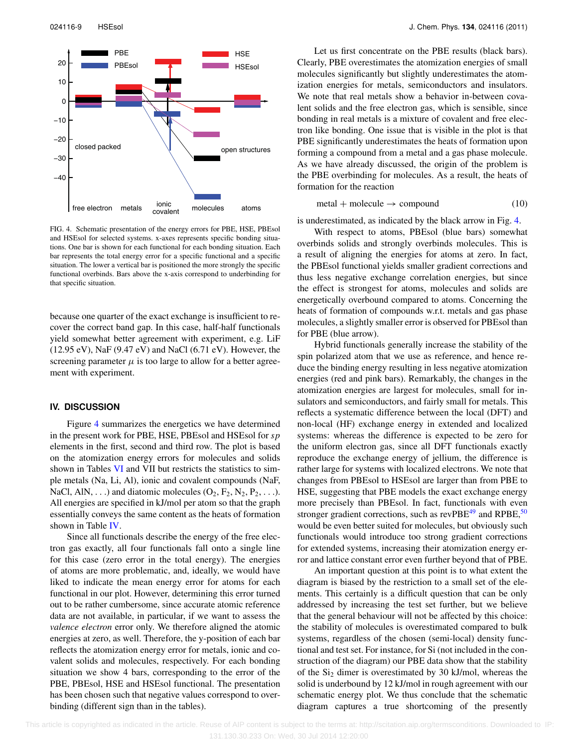<span id="page-9-0"></span>

FIG. 4. Schematic presentation of the energy errors for PBE, HSE, PBEsol and HSEsol for selected systems. x-axes represents specific bonding situations. One bar is shown for each functional for each bonding situation. Each bar represents the total energy error for a specific functional and a specific situation. The lower a vertical bar is positioned the more strongly the specific functional overbinds. Bars above the x-axis correspond to underbinding for that specific situation.

because one quarter of the exact exchange is insufficient to recover the correct band gap. In this case, half-half functionals yield somewhat better agreement with experiment, e.g. LiF (12.95 eV), NaF (9.47 eV) and NaCl (6.71 eV). However, the screening parameter  $\mu$  is too large to allow for a better agreement with experiment.

#### **IV. DISCUSSION**

Figure [4](#page-9-0) summarizes the energetics we have determined in the present work for PBE, HSE, PBEsol and HSEsol for *sp* elements in the first, second and third row. The plot is based on the atomization energy errors for molecules and solids shown in Tables [VI](#page-8-0) and VII but restricts the statistics to simple metals (Na, Li, Al), ionic and covalent compounds (NaF, NaCl, AlN, ...) and diatomic molecules  $(O_2, F_2, N_2, P_2, \ldots)$ . All energies are specified in kJ/mol per atom so that the graph essentially conveys the same content as the heats of formation shown in Table [IV.](#page-6-1)

Since all functionals describe the energy of the free electron gas exactly, all four functionals fall onto a single line for this case (zero error in the total energy). The energies of atoms are more problematic, and, ideally, we would have liked to indicate the mean energy error for atoms for each functional in our plot. However, determining this error turned out to be rather cumbersome, since accurate atomic reference data are not available, in particular, if we want to assess the *valence electron* error only. We therefore aligned the atomic energies at zero, as well. Therefore, the y-position of each bar reflects the atomization energy error for metals, ionic and covalent solids and molecules, respectively. For each bonding situation we show 4 bars, corresponding to the error of the PBE, PBEsol, HSE and HSEsol functional. The presentation has been chosen such that negative values correspond to overbinding (different sign than in the tables).

Let us first concentrate on the PBE results (black bars). Clearly, PBE overestimates the atomization energies of small molecules significantly but slightly underestimates the atomization energies for metals, semiconductors and insulators. We note that real metals show a behavior in-between covalent solids and the free electron gas, which is sensible, since bonding in real metals is a mixture of covalent and free electron like bonding. One issue that is visible in the plot is that PBE significantly underestimates the heats of formation upon forming a compound from a metal and a gas phase molecule. As we have already discussed, the origin of the problem is the PBE overbinding for molecules. As a result, the heats of formation for the reaction

$$
metal + molecule \rightarrow compound \qquad (10)
$$

is underestimated, as indicated by the black arrow in Fig. [4.](#page-9-0)

With respect to atoms, PBEsol (blue bars) somewhat overbinds solids and strongly overbinds molecules. This is a result of aligning the energies for atoms at zero. In fact, the PBEsol functional yields smaller gradient corrections and thus less negative exchange correlation energies, but since the effect is strongest for atoms, molecules and solids are energetically overbound compared to atoms. Concerning the heats of formation of compounds w.r.t. metals and gas phase molecules, a slightly smaller error is observed for PBEsol than for PBE (blue arrow).

Hybrid functionals generally increase the stability of the spin polarized atom that we use as reference, and hence reduce the binding energy resulting in less negative atomization energies (red and pink bars). Remarkably, the changes in the atomization energies are largest for molecules, small for insulators and semiconductors, and fairly small for metals. This reflects a systematic difference between the local (DFT) and non-local (HF) exchange energy in extended and localized systems: whereas the difference is expected to be zero for the uniform electron gas, since all DFT functionals exactly reproduce the exchange energy of jellium, the difference is rather large for systems with localized electrons. We note that changes from PBEsol to HSEsol are larger than from PBE to HSE, suggesting that PBE models the exact exchange energy more precisely than PBEsol. In fact, functionals with even stronger gradient corrections, such as  $revPBE<sup>49</sup>$  $revPBE<sup>49</sup>$  $revPBE<sup>49</sup>$  and RPBE,<sup>[50](#page-11-38)</sup> would be even better suited for molecules, but obviously such functionals would introduce too strong gradient corrections for extended systems, increasing their atomization energy error and lattice constant error even further beyond that of PBE.

An important question at this point is to what extent the diagram is biased by the restriction to a small set of the elements. This certainly is a difficult question that can be only addressed by increasing the test set further, but we believe that the general behaviour will not be affected by this choice: the stability of molecules is overestimated compared to bulk systems, regardless of the chosen (semi-local) density functional and test set. For instance, for Si (not included in the construction of the diagram) our PBE data show that the stability of the  $Si<sub>2</sub>$  dimer is overestimated by 30 kJ/mol, whereas the solid is underbound by 12 kJ/mol in rough agreement with our schematic energy plot. We thus conclude that the schematic diagram captures a true shortcoming of the presently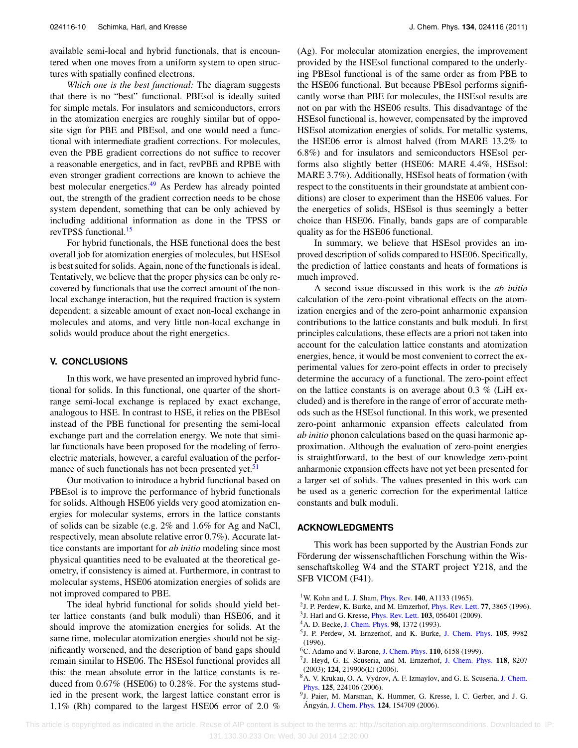available semi-local and hybrid functionals, that is encountered when one moves from a uniform system to open structures with spatially confined electrons.

*Which one is the best functional:* The diagram suggests that there is no "best" functional. PBEsol is ideally suited for simple metals. For insulators and semiconductors, errors in the atomization energies are roughly similar but of opposite sign for PBE and PBEsol, and one would need a functional with intermediate gradient corrections. For molecules, even the PBE gradient corrections do not suffice to recover a reasonable energetics, and in fact, revPBE and RPBE with even stronger gradient corrections are known to achieve the best molecular energetics.<sup>49</sup> As Perdew has already pointed out, the strength of the gradient correction needs to be chose system dependent, something that can be only achieved by including additional information as done in the TPSS or revTPSS functional.<sup>[15](#page-11-5)</sup>

For hybrid functionals, the HSE functional does the best overall job for atomization energies of molecules, but HSEsol is best suited for solids. Again, none of the functionals is ideal. Tentatively, we believe that the proper physics can be only recovered by functionals that use the correct amount of the nonlocal exchange interaction, but the required fraction is system dependent: a sizeable amount of exact non-local exchange in molecules and atoms, and very little non-local exchange in solids would produce about the right energetics.

#### **V. CONCLUSIONS**

In this work, we have presented an improved hybrid functional for solids. In this functional, one quarter of the shortrange semi-local exchange is replaced by exact exchange, analogous to HSE. In contrast to HSE, it relies on the PBEsol instead of the PBE functional for presenting the semi-local exchange part and the correlation energy. We note that similar functionals have been proposed for the modeling of ferroelectric materials, however, a careful evaluation of the perfor-mance of such functionals has not been presented yet.<sup>[51](#page-11-39)</sup>

Our motivation to introduce a hybrid functional based on PBEsol is to improve the performance of hybrid functionals for solids. Although HSE06 yields very good atomization energies for molecular systems, errors in the lattice constants of solids can be sizable (e.g. 2% and 1.6% for Ag and NaCl, respectively, mean absolute relative error 0.7%). Accurate lattice constants are important for *ab initio* modeling since most physical quantities need to be evaluated at the theoretical geometry, if consistency is aimed at. Furthermore, in contrast to molecular systems, HSE06 atomization energies of solids are not improved compared to PBE.

The ideal hybrid functional for solids should yield better lattice constants (and bulk moduli) than HSE06, and it should improve the atomization energies for solids. At the same time, molecular atomization energies should not be significantly worsened, and the description of band gaps should remain similar to HSE06. The HSEsol functional provides all this: the mean absolute error in the lattice constants is reduced from 0.67% (HSE06) to 0.28%. For the systems studied in the present work, the largest lattice constant error is 1.1% (Rh) compared to the largest HSE06 error of 2.0 % (Ag). For molecular atomization energies, the improvement provided by the HSEsol functional compared to the underlying PBEsol functional is of the same order as from PBE to the HSE06 functional. But because PBEsol performs significantly worse than PBE for molecules, the HSEsol results are not on par with the HSE06 results. This disadvantage of the HSEsol functional is, however, compensated by the improved HSEsol atomization energies of solids. For metallic systems, the HSE06 error is almost halved (from MARE 13.2% to 6.8%) and for insulators and semiconductors HSEsol performs also slightly better (HSE06: MARE 4.4%, HSEsol: MARE 3.7%). Additionally, HSEsol heats of formation (with respect to the constituents in their groundstate at ambient conditions) are closer to experiment than the HSE06 values. For the energetics of solids, HSEsol is thus seemingly a better choice than HSE06. Finally, bands gaps are of comparable quality as for the HSE06 functional.

In summary, we believe that HSEsol provides an improved description of solids compared to HSE06. Specifically, the prediction of lattice constants and heats of formations is much improved.

A second issue discussed in this work is the *ab initio* calculation of the zero-point vibrational effects on the atomization energies and of the zero-point anharmonic expansion contributions to the lattice constants and bulk moduli. In first principles calculations, these effects are a priori not taken into account for the calculation lattice constants and atomization energies, hence, it would be most convenient to correct the experimental values for zero-point effects in order to precisely determine the accuracy of a functional. The zero-point effect on the lattice constants is on average about 0.3 % (LiH excluded) and is therefore in the range of error of accurate methods such as the HSEsol functional. In this work, we presented zero-point anharmonic expansion effects calculated from *ab initio* phonon calculations based on the quasi harmonic approximation. Although the evaluation of zero-point energies is straightforward, to the best of our knowledge zero-point anharmonic expansion effects have not yet been presented for a larger set of solids. The values presented in this work can be used as a generic correction for the experimental lattice constants and bulk moduli.

#### **ACKNOWLEDGMENTS**

This work has been supported by the Austrian Fonds zur Förderung der wissenschaftlichen Forschung within the Wissenschaftskolleg W4 and the START project Y218, and the SFB VICOM (F41).

- <span id="page-10-1"></span><span id="page-10-0"></span>1W. Kohn and L. J. Sham, [Phys. Rev.](http://dx.doi.org/10.1103/PhysRev.140.A1133) **140**, A1133 (1965).
- <span id="page-10-2"></span>2J. P. Perdew, K. Burke, and M. Ernzerhof, [Phys. Rev. Lett.](http://dx.doi.org/10.1103/PhysRevLett.77.3865) **77**, 3865 (1996).
- <span id="page-10-3"></span>3J. Harl and G. Kresse, [Phys. Rev. Lett.](http://dx.doi.org/10.1103/PhysRevLett.103.056401) **103**, 056401 (2009).
- <span id="page-10-4"></span>4A. D. Becke, [J. Chem. Phys.](http://dx.doi.org/10.1063/1.464304) **98**, 1372 (1993).
- 5J. P. Perdew, M. Ernzerhof, and K. Burke, [J. Chem. Phys.](http://dx.doi.org/10.1063/1.472933) **105**, 9982 (1996).
- <span id="page-10-6"></span><span id="page-10-5"></span>6C. Adamo and V. Barone, [J. Chem. Phys.](http://dx.doi.org/10.1063/1.478522) **110**, 6158 (1999).
- 7J. Heyd, G. E. Scuseria, and M. Ernzerhof, [J. Chem. Phys.](http://dx.doi.org/10.1063/1.1564060) **118**, 8207 (2003); **124**, 219906(E) (2006).
- <span id="page-10-7"></span>8A. V. Krukau, O. A. Vydrov, A. F. Izmaylov, and G. E. Scuseria, [J. Chem.](http://dx.doi.org/10.1063/1.2404663) [Phys.](http://dx.doi.org/10.1063/1.2404663) **125**, 224106 (2006).
- <span id="page-10-8"></span>9J. Paier, M. Marsman, K. Hummer, G. Kresse, I. C. Gerber, and J. G. Ángyán, [J. Chem. Phys.](http://dx.doi.org/10.1063/1.2187006) **124**, 154709 (2006).